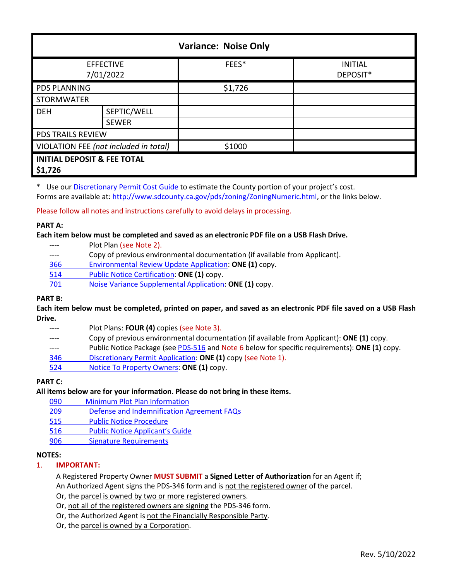| <b>Variance: Noise Only</b>                       |              |         |                            |  |  |
|---------------------------------------------------|--------------|---------|----------------------------|--|--|
| <b>EFFECTIVE</b><br>7/01/2022                     |              | FEES*   | <b>INITIAL</b><br>DEPOSIT* |  |  |
| <b>PDS PLANNING</b>                               |              | \$1,726 |                            |  |  |
| <b>STORMWATER</b>                                 |              |         |                            |  |  |
| <b>DEH</b>                                        | SEPTIC/WELL  |         |                            |  |  |
|                                                   | <b>SEWER</b> |         |                            |  |  |
| PDS TRAILS REVIEW                                 |              |         |                            |  |  |
| VIOLATION FEE (not included in total)             |              | \$1000  |                            |  |  |
| <b>INITIAL DEPOSIT &amp; FEE TOTAL</b><br>\$1,726 |              |         |                            |  |  |

\* Use our [Discretionary Permit Cost Guide](http://www.sandiegocounty.gov/content/dam/sdc/pds/docs/Discretionary_Permit_Cost_Guide.xlsx) to estimate the County portion of your project's cost.

Forms are available at: [http://www.sdcounty.ca.gov/pds/zoning/ZoningNumeric.html,](http://www.sdcounty.ca.gov/pds/zoning/ZoningNumeric.html) or the links below.

Please follow all notes and instructions carefully to avoid delays in processing.

### **PART A:**

**Each item below must be completed and saved as an electronic PDF file on a USB Flash Drive.**

|     | Plot Plan (see Note 2).                                                     |
|-----|-----------------------------------------------------------------------------|
|     | Copy of previous environmental documentation (if available from Applicant). |
| 366 | Environmental Review Update Application: ONE (1) copy.                      |
| 514 | Public Notice Certification: ONE (1) copy.                                  |
| 701 | Noise Variance Supplemental Application: ONE (1) copy.                      |

# **PART B:**

**Each item below must be completed, printed on paper, and saved as an electronic PDF file saved on a USB Flash Drive.**

- ---- Plot Plans: **FOUR (4)** copies (see Note 3).
- ---- Copy of previous environmental documentation (if available from Applicant): **ONE (1)** copy.
- ---- Public Notice Package (se[e PDS-516](https://www.sandiegocounty.gov/pds/zoning/formfields/PDS-PLN-516.pdf) and Note 6 below for specific requirements): **ONE (1)** copy.
- 346 [Discretionary Permit Application:](http://www.sdcounty.ca.gov/pds/zoning/formfields/PDS-PLN-346.pdf) **ONE (1)** copy (see Note 1).
- 524 [Notice To Property Owners:](http://www.sdcounty.ca.gov/pds/zoning/formfields/PDS-PLN-524.pdf) **ONE (1)** copy.

# **PART C:**

### **All items below are for your information. Please do not bring in these items.**

- [090 Minimum Plot Plan Information](http://www.sdcounty.ca.gov/pds/docs/pds090.pdf)
- 209 [Defense and Indemnification Agreement FAQs](http://www.sdcounty.ca.gov/pds/zoning/formfields/PDS-PLN-209.pdf)
- [515 Public Notice Procedure](http://www.sdcounty.ca.gov/pds/zoning/formfields/PDS-PLN-515.pdf)
- [516 Public Notice Applicant's Guide](http://www.sdcounty.ca.gov/pds/zoning/formfields/PDS-PLN-516.pdf)
- [906 Signature Requirements](http://www.sdcounty.ca.gov/pds/zoning/formfields/PDS-PLN-906.pdf)

### **NOTES:**

### 1. **IMPORTANT:**

A Registered Property Owner **MUST SUBMIT** a **Signed Letter of Authorization** for an Agent if; An Authorized Agent signs the PDS-346 form and is not the registered owner of the parcel.

Or, the parcel is owned by two or more registered owners.

- Or, not all of the registered owners are signing the PDS-346 form.
- Or, the Authorized Agent is not the Financially Responsible Party.
- Or, the parcel is owned by a Corporation.